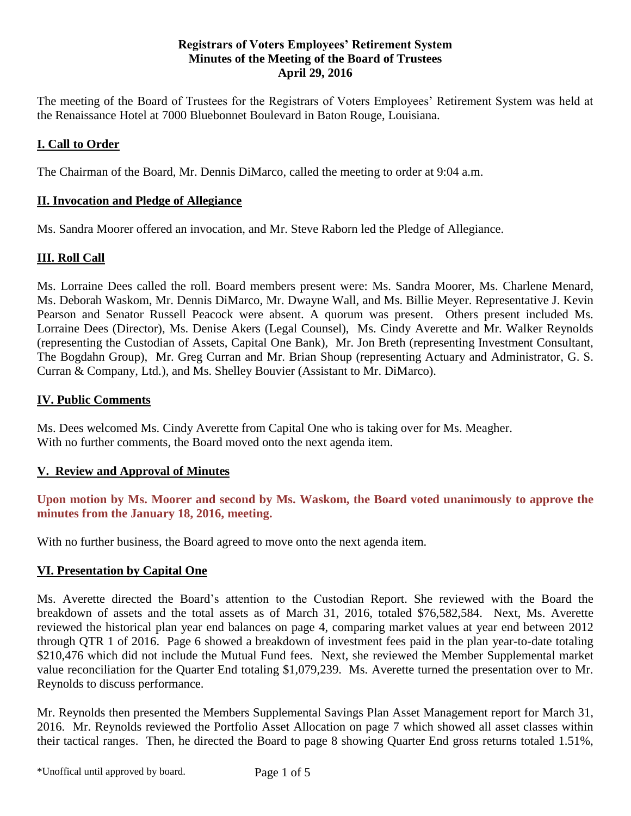# **Registrars of Voters Employees' Retirement System Minutes of the Meeting of the Board of Trustees April 29, 2016**

The meeting of the Board of Trustees for the Registrars of Voters Employees' Retirement System was held at the Renaissance Hotel at 7000 Bluebonnet Boulevard in Baton Rouge, Louisiana.

# **I. Call to Order**

The Chairman of the Board, Mr. Dennis DiMarco, called the meeting to order at 9:04 a.m.

# **II. Invocation and Pledge of Allegiance**

Ms. Sandra Moorer offered an invocation, and Mr. Steve Raborn led the Pledge of Allegiance.

# **III. Roll Call**

Ms. Lorraine Dees called the roll. Board members present were: Ms. Sandra Moorer, Ms. Charlene Menard, Ms. Deborah Waskom, Mr. Dennis DiMarco, Mr. Dwayne Wall, and Ms. Billie Meyer. Representative J. Kevin Pearson and Senator Russell Peacock were absent. A quorum was present. Others present included Ms. Lorraine Dees (Director), Ms. Denise Akers (Legal Counsel), Ms. Cindy Averette and Mr. Walker Reynolds (representing the Custodian of Assets, Capital One Bank), Mr. Jon Breth (representing Investment Consultant, The Bogdahn Group), Mr. Greg Curran and Mr. Brian Shoup (representing Actuary and Administrator, G. S. Curran & Company, Ltd.), and Ms. Shelley Bouvier (Assistant to Mr. DiMarco).

### **IV. Public Comments**

Ms. Dees welcomed Ms. Cindy Averette from Capital One who is taking over for Ms. Meagher. With no further comments, the Board moved onto the next agenda item.

#### **V. Review and Approval of Minutes**

**Upon motion by Ms. Moorer and second by Ms. Waskom, the Board voted unanimously to approve the minutes from the January 18, 2016, meeting.** 

With no further business, the Board agreed to move onto the next agenda item.

# **VI. Presentation by Capital One**

Ms. Averette directed the Board's attention to the Custodian Report. She reviewed with the Board the breakdown of assets and the total assets as of March 31, 2016, totaled \$76,582,584. Next, Ms. Averette reviewed the historical plan year end balances on page 4, comparing market values at year end between 2012 through QTR 1 of 2016. Page 6 showed a breakdown of investment fees paid in the plan year-to-date totaling \$210,476 which did not include the Mutual Fund fees. Next, she reviewed the Member Supplemental market value reconciliation for the Quarter End totaling \$1,079,239. Ms. Averette turned the presentation over to Mr. Reynolds to discuss performance.

Mr. Reynolds then presented the Members Supplemental Savings Plan Asset Management report for March 31, 2016. Mr. Reynolds reviewed the Portfolio Asset Allocation on page 7 which showed all asset classes within their tactical ranges. Then, he directed the Board to page 8 showing Quarter End gross returns totaled 1.51%,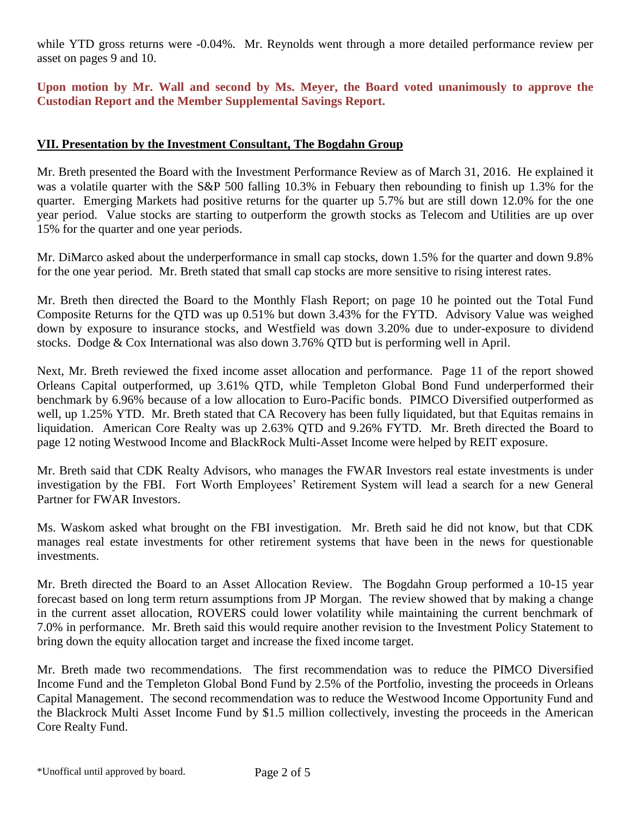while YTD gross returns were -0.04%. Mr. Reynolds went through a more detailed performance review per asset on pages 9 and 10.

**Upon motion by Mr. Wall and second by Ms. Meyer, the Board voted unanimously to approve the Custodian Report and the Member Supplemental Savings Report.**

# **VII. Presentation by the Investment Consultant, The Bogdahn Group**

Mr. Breth presented the Board with the Investment Performance Review as of March 31, 2016. He explained it was a volatile quarter with the S&P 500 falling 10.3% in Febuary then rebounding to finish up 1.3% for the quarter. Emerging Markets had positive returns for the quarter up 5.7% but are still down 12.0% for the one year period. Value stocks are starting to outperform the growth stocks as Telecom and Utilities are up over 15% for the quarter and one year periods.

Mr. DiMarco asked about the underperformance in small cap stocks, down 1.5% for the quarter and down 9.8% for the one year period. Mr. Breth stated that small cap stocks are more sensitive to rising interest rates.

Mr. Breth then directed the Board to the Monthly Flash Report; on page 10 he pointed out the Total Fund Composite Returns for the QTD was up 0.51% but down 3.43% for the FYTD. Advisory Value was weighed down by exposure to insurance stocks, and Westfield was down 3.20% due to under-exposure to dividend stocks. Dodge & Cox International was also down 3.76% QTD but is performing well in April.

Next, Mr. Breth reviewed the fixed income asset allocation and performance. Page 11 of the report showed Orleans Capital outperformed, up 3.61% QTD, while Templeton Global Bond Fund underperformed their benchmark by 6.96% because of a low allocation to Euro-Pacific bonds. PIMCO Diversified outperformed as well, up 1.25% YTD. Mr. Breth stated that CA Recovery has been fully liquidated, but that Equitas remains in liquidation. American Core Realty was up 2.63% QTD and 9.26% FYTD. Mr. Breth directed the Board to page 12 noting Westwood Income and BlackRock Multi-Asset Income were helped by REIT exposure.

Mr. Breth said that CDK Realty Advisors, who manages the FWAR Investors real estate investments is under investigation by the FBI. Fort Worth Employees' Retirement System will lead a search for a new General Partner for FWAR Investors.

Ms. Waskom asked what brought on the FBI investigation. Mr. Breth said he did not know, but that CDK manages real estate investments for other retirement systems that have been in the news for questionable investments.

Mr. Breth directed the Board to an Asset Allocation Review. The Bogdahn Group performed a 10-15 year forecast based on long term return assumptions from JP Morgan. The review showed that by making a change in the current asset allocation, ROVERS could lower volatility while maintaining the current benchmark of 7.0% in performance. Mr. Breth said this would require another revision to the Investment Policy Statement to bring down the equity allocation target and increase the fixed income target.

Mr. Breth made two recommendations. The first recommendation was to reduce the PIMCO Diversified Income Fund and the Templeton Global Bond Fund by 2.5% of the Portfolio, investing the proceeds in Orleans Capital Management. The second recommendation was to reduce the Westwood Income Opportunity Fund and the Blackrock Multi Asset Income Fund by \$1.5 million collectively, investing the proceeds in the American Core Realty Fund.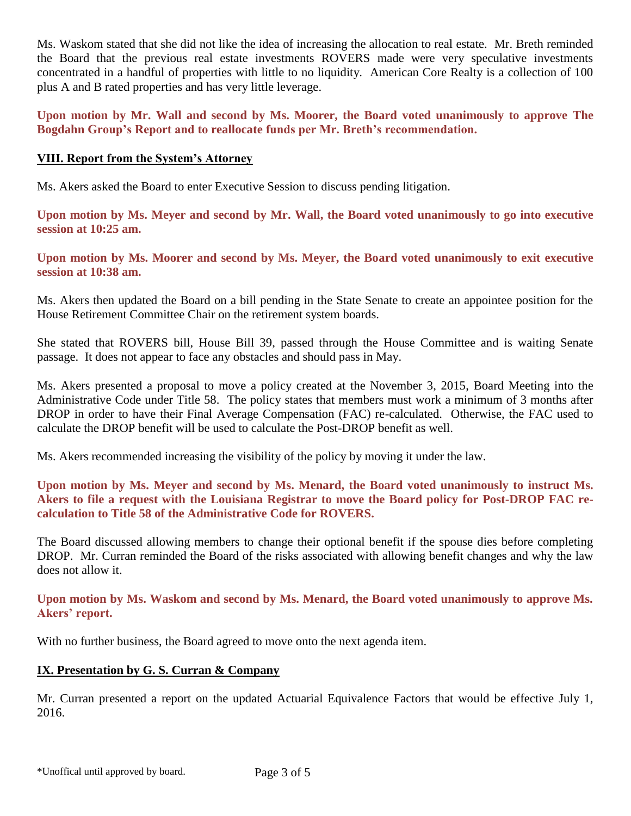Ms. Waskom stated that she did not like the idea of increasing the allocation to real estate. Mr. Breth reminded the Board that the previous real estate investments ROVERS made were very speculative investments concentrated in a handful of properties with little to no liquidity. American Core Realty is a collection of 100 plus A and B rated properties and has very little leverage.

**Upon motion by Mr. Wall and second by Ms. Moorer, the Board voted unanimously to approve The Bogdahn Group's Report and to reallocate funds per Mr. Breth's recommendation.**

# **VIII. Report from the System's Attorney**

Ms. Akers asked the Board to enter Executive Session to discuss pending litigation.

**Upon motion by Ms. Meyer and second by Mr. Wall, the Board voted unanimously to go into executive session at 10:25 am.**

**Upon motion by Ms. Moorer and second by Ms. Meyer, the Board voted unanimously to exit executive session at 10:38 am.**

Ms. Akers then updated the Board on a bill pending in the State Senate to create an appointee position for the House Retirement Committee Chair on the retirement system boards.

She stated that ROVERS bill, House Bill 39, passed through the House Committee and is waiting Senate passage. It does not appear to face any obstacles and should pass in May.

Ms. Akers presented a proposal to move a policy created at the November 3, 2015, Board Meeting into the Administrative Code under Title 58. The policy states that members must work a minimum of 3 months after DROP in order to have their Final Average Compensation (FAC) re-calculated. Otherwise, the FAC used to calculate the DROP benefit will be used to calculate the Post-DROP benefit as well.

Ms. Akers recommended increasing the visibility of the policy by moving it under the law.

**Upon motion by Ms. Meyer and second by Ms. Menard, the Board voted unanimously to instruct Ms. Akers to file a request with the Louisiana Registrar to move the Board policy for Post-DROP FAC recalculation to Title 58 of the Administrative Code for ROVERS.**

The Board discussed allowing members to change their optional benefit if the spouse dies before completing DROP. Mr. Curran reminded the Board of the risks associated with allowing benefit changes and why the law does not allow it.

**Upon motion by Ms. Waskom and second by Ms. Menard, the Board voted unanimously to approve Ms. Akers' report.**

With no further business, the Board agreed to move onto the next agenda item.

#### **IX. Presentation by G. S. Curran & Company**

Mr. Curran presented a report on the updated Actuarial Equivalence Factors that would be effective July 1, 2016.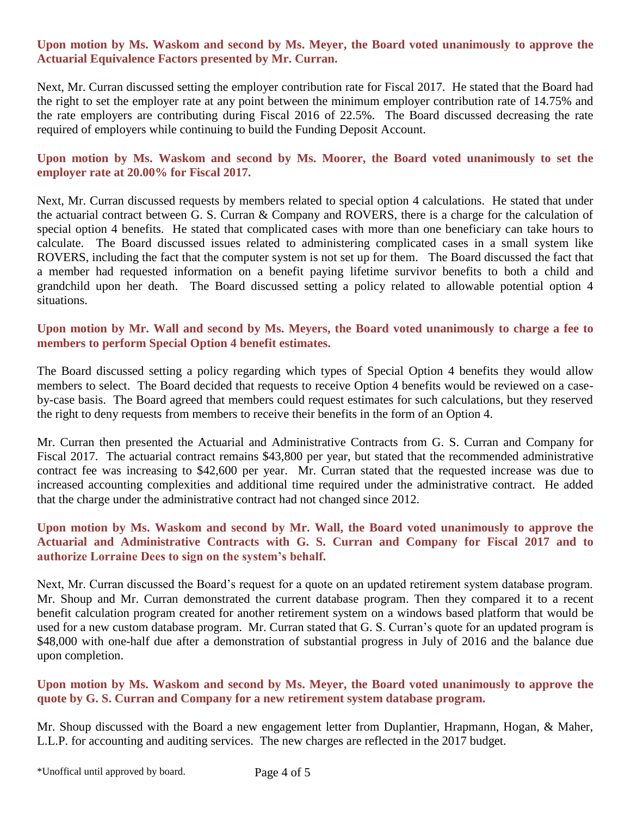# **Upon motion by Ms. Waskom and second by Ms. Meyer, the Board voted unanimously to approve the Actuarial Equivalence Factors presented by Mr. Curran.**

Next, Mr. Curran discussed setting the employer contribution rate for Fiscal 2017. He stated that the Board had the right to set the employer rate at any point between the minimum employer contribution rate of 14.75% and the rate employers are contributing during Fiscal 2016 of 22.5%. The Board discussed decreasing the rate required of employers while continuing to build the Funding Deposit Account.

**Upon motion by Ms. Waskom and second by Ms. Moorer, the Board voted unanimously to set the employer rate at 20.00% for Fiscal 2017.**

Next, Mr. Curran discussed requests by members related to special option 4 calculations. He stated that under the actuarial contract between G. S. Curran & Company and ROVERS, there is a charge for the calculation of special option 4 benefits. He stated that complicated cases with more than one beneficiary can take hours to calculate. The Board discussed issues related to administering complicated cases in a small system like ROVERS, including the fact that the computer system is not set up for them. The Board discussed the fact that a member had requested information on a benefit paying lifetime survivor benefits to both a child and grandchild upon her death. The Board discussed setting a policy related to allowable potential option 4 situations.

# **Upon motion by Mr. Wall and second by Ms. Meyers, the Board voted unanimously to charge a fee to members to perform Special Option 4 benefit estimates.**

The Board discussed setting a policy regarding which types of Special Option 4 benefits they would allow members to select. The Board decided that requests to receive Option 4 benefits would be reviewed on a caseby-case basis. The Board agreed that members could request estimates for such calculations, but they reserved the right to deny requests from members to receive their benefits in the form of an Option 4.

Mr. Curran then presented the Actuarial and Administrative Contracts from G. S. Curran and Company for Fiscal 2017. The actuarial contract remains \$43,800 per year, but stated that the recommended administrative contract fee was increasing to \$42,600 per year. Mr. Curran stated that the requested increase was due to increased accounting complexities and additional time required under the administrative contract. He added that the charge under the administrative contract had not changed since 2012.

# **Upon motion by Ms. Waskom and second by Mr. Wall, the Board voted unanimously to approve the Actuarial and Administrative Contracts with G. S. Curran and Company for Fiscal 2017 and to authorize Lorraine Dees to sign on the system's behalf.**

Next, Mr. Curran discussed the Board's request for a quote on an updated retirement system database program. Mr. Shoup and Mr. Curran demonstrated the current database program. Then they compared it to a recent benefit calculation program created for another retirement system on a windows based platform that would be used for a new custom database program. Mr. Curran stated that G. S. Curran's quote for an updated program is \$48,000 with one-half due after a demonstration of substantial progress in July of 2016 and the balance due upon completion.

# **Upon motion by Ms. Waskom and second by Ms. Meyer, the Board voted unanimously to approve the quote by G. S. Curran and Company for a new retirement system database program.**

Mr. Shoup discussed with the Board a new engagement letter from Duplantier, Hrapmann, Hogan, & Maher, L.L.P. for accounting and auditing services. The new charges are reflected in the 2017 budget.